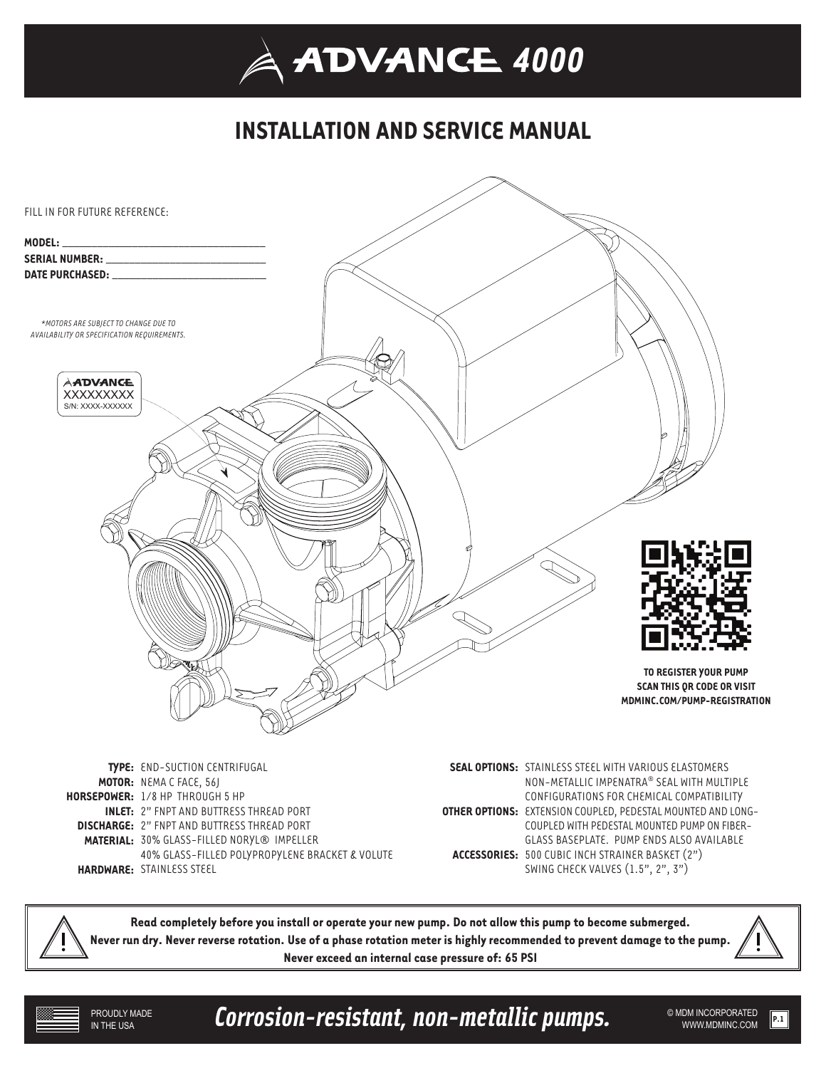## **INSTALLATION AND SERVICE MANUAL**



**MATERIAL:** 30% GLASS-FILLED NORYL® IMPELLER

40% GLASS-FILLED POLYPROPYLENE BRACKET & VOLUTE **HARDWARE:** STAINLESS STEEL

COUPLED WITH PEDESTAL MOUNTED PUMP ON FIBER-GLASS BASEPLATE. PUMP ENDS ALSO AVAILABLE **ACCESSORIES:** 500 CUBIC INCH STRAINER BASKET (2") SWING CHECK VALVES (1.5", 2", 3")

**Read completely before you install or operate your new pump. Do not allow this pump to become submerged. Never run dry. Never reverse rotation. Use of a phase rotation meter is highly recommended to prevent damage to the pump. Never exceed an internal case pressure of: 65 PSI** 

PROUDLY MADE IN THE USA

Corrosion-resistant, non-metallic pumps. WEDN INCORPORATED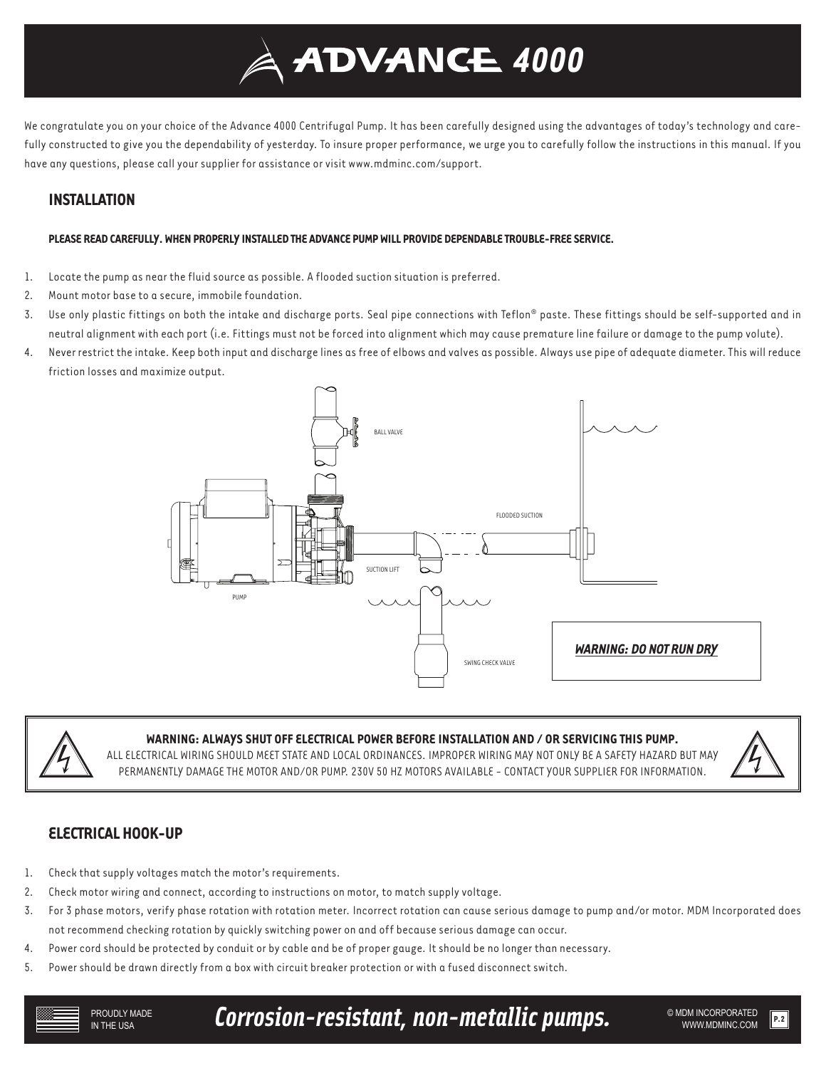# *4000*

We congratulate you on your choice of the Advance 4000 Centrifugal Pump. It has been carefully designed using the advantages of today's technology and carefully constructed to give you the dependability of yesterday. To insure proper performance, we urge you to carefully follow the instructions in this manual. If you have any questions, please call your supplier for assistance or visit www.mdminc.com/support.

## **INSTALLATION**

### **PLEASE READ CAREFULLY. WHEN PROPERLY INSTALLED THE ADVANCE PUMP WILL PROVIDE DEPENDABLE TROUBLE-FREE SERVICE.**

- 1. Locate the pump as near the fluid source as possible. A flooded suction situation is preferred.
- 2. Mount motor base to a secure, immobile foundation.
- 3. Use only plastic fittings on both the intake and discharge ports. Seal pipe connections with Teflon® paste. These fittings should be self-supported and in neutral alignment with each port (i.e. Fittings must not be forced into alignment which may cause premature line failure or damage to the pump volute).
- 4. Never restrict the intake. Keep both input and discharge lines as free of elbows and valves as possible. Always use pipe of adequate diameter. This will reduce friction losses and maximize output.





## **WARNING: ALWAYS SHUT OFF ELECTRICAL POWER BEFORE INSTALLATION AND / OR SERVICING THIS PUMP.**

ALL ELECTRICAL WIRING SHOULD MEET STATE AND LOCAL ORDINANCES. IMPROPER WIRING MAY NOT ONLY BE A SAFETY HAZARD BUT MAY PERMANENTLY DAMAGE THE MOTOR AND/OR PUMP. 230V 50 HZ MOTORS AVAILABLE - CONTACT YOUR SUPPLIER FOR INFORMATION.



## **ELECTRICAL HOOK-UP**

- 1. Check that supply voltages match the motor's requirements.
- 2. Check motor wiring and connect, according to instructions on motor, to match supply voltage.
- 3. For 3 phase motors, verify phase rotation with rotation meter. Incorrect rotation can cause serious damage to pump and/or motor. MDM Incorporated does not recommend checking rotation by quickly switching power on and off because serious damage can occur.
- 4. Power cord should be protected by conduit or by cable and be of proper gauge. It should be no longer than necessary.
- 5. Power should be drawn directly from a box with circuit breaker protection or with a fused disconnect switch.

Corrosion-resistant, non-metallic pumps. WE ADM INCORPORATED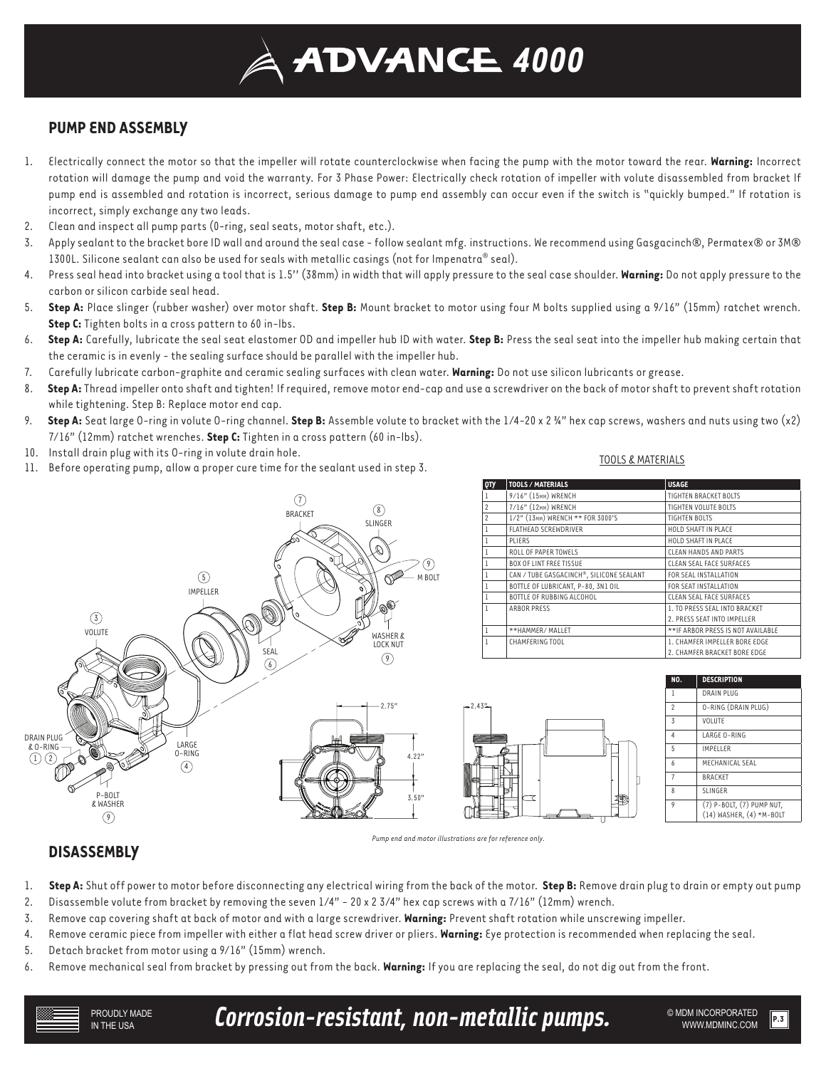## *4000*

## **PUMP END ASSEMBLY**

- 1. Electrically connect the motor so that the impeller will rotate counterclockwise when facing the pump with the motor toward the rear. **Warning:** Incorrect rotation will damage the pump and void the warranty. For 3 Phase Power: Electrically check rotation of impeller with volute disassembled from bracket If pump end is assembled and rotation is incorrect, serious damage to pump end assembly can occur even if the switch is "quickly bumped." If rotation is incorrect, simply exchange any two leads.
- 2. Clean and inspect all pump parts (0-ring, seal seats, motor shaft, etc.).
- 3. Apply sealant to the bracket bore ID wall and around the seal case follow sealant mfg. instructions. We recommend using Gasgacinch®, Permatex® or 3M® 1300L. Silicone sealant can also be used for seals with metallic casings (not for Impenatra® seal).
- 4. Press seal head into bracket using a tool that is 1.5'' (38mm) in width that will apply pressure to the seal case shoulder. **Warning:** Do not apply pressure to the carbon or silicon carbide seal head.
- 5. **Step A:** Place slinger (rubber washer) over motor shaft. **Step B:** Mount bracket to motor using four M bolts supplied using a 9/16" (15mm) ratchet wrench. **Step C:** Tighten bolts in a cross pattern to 60 in-lbs.
- 6. **Step A:** Carefully, lubricate the seal seat elastomer OD and impeller hub ID with water. **Step B:** Press the seal seat into the impeller hub making certain that the ceramic is in evenly - the sealing surface should be parallel with the impeller hub.
- 7. Carefully lubricate carbon-graphite and ceramic sealing surfaces with clean water. **Warning:** Do not use silicon lubricants or grease.
- 8. **Step A:** Thread impeller onto shaft and tighten! If required, remove motor end-cap and use a screwdriver on the back of motor shaft to prevent shaft rotation while tightening. Step B: Replace motor end cap.
- 9. **Step A:** Seat large O-ring in volute O-ring channel. **Step B:** Assemble volute to bracket with the 1/4-20 x 2 ¾" hex cap screws, washers and nuts using two (x2) 7/16" (12mm) ratchet wrenches. **Step C:** Tighten in a cross pattern (60 in-lbs).
- 10. Install drain plug with its O-ring in volute drain hole.
- 11. Before operating pump, allow a proper cure time for the sealant used in step 3.

#### TOOLS & MATERIALS



| QTY            | <b>TOOLS / MATERIALS</b>                 | <b>USAGE</b>                       |
|----------------|------------------------------------------|------------------------------------|
| 1              | 9/16" (15MM) WRENCH                      | TIGHTEN BRACKET BOLTS              |
| $\overline{c}$ | 7/16" (12MM) WRENCH                      | TIGHTEN VOLUTE BOLTS               |
| $\mathfrak{p}$ | 1/2" (13MM) WRENCH ** FOR 3000'S         | <b>TIGHTEN BOLTS</b>               |
| 1              | <b>FLATHEAD SCREWDRIVER</b>              | HOLD SHAFT IN PLACE                |
| 1              | PLIFRS                                   | HOLD SHAFT IN PLACE                |
|                | ROLL OF PAPER TOWELS                     | CLEAN HANDS AND PARTS              |
| 1              | <b>BOX OF LINT FREE TISSUE</b>           | CLEAN SEAL FACE SURFACES           |
| 1              | CAN / TUBE GASGACINCH®, SILICONE SEALANT | FOR SEAL INSTALLATION              |
| 1              | BOTTLE OF LUBRICANT, P-80, 3N1 OIL       | FOR SEAT INSTALLATION              |
| 1              | BOTTLE OF RUBBING ALCOHOL                | CLEAN SEAL FACE SURFACES           |
| I.             | ARBOR PRESS                              | 1. TO PRESS SEAL INTO BRACKET      |
|                |                                          | 2. PRESS SEAT INTO IMPELLER        |
| 1              | **HAMMER/ MALLET                         | ** IF ARBOR PRESS IS NOT AVAILABLE |
| I.             | CHAMFERING TOOL                          | 1. CHAMFER IMPELLER BORE EDGE      |
|                |                                          | 2. CHAMFER BRACKET BORE EDGE       |



| NO. | <b>DESCRIPTION</b>                                        |
|-----|-----------------------------------------------------------|
| 1   | DRAIN PLUG                                                |
| 2   | O-RING (DRAIN PLUG)                                       |
| 3   | VOLUTE                                                    |
| 4   | LARGE 0-RING                                              |
| 5   | <b>IMPELLER</b>                                           |
| h   | MECHANICAL SEAL                                           |
| 7   | <b>BRACKET</b>                                            |
| 8   | <b>SLINGER</b>                                            |
| 9   | (7) P-BOLT, (7) PUMP NUT,<br>$(14)$ WASHER, $(4)$ *M-BOLT |
|     |                                                           |



## **DISASSEMBLY**

- 1. **Step A:** Shut off power to motor before disconnecting any electrical wiring from the back of the motor. **Step B:** Remove drain plug to drain or empty out pump
- 2. Disassemble volute from bracket by removing the seven 1/4" 20 x 2 3/4" hex cap screws with a 7/16" (12mm) wrench.
- 3. Remove cap covering shaft at back of motor and with a large screwdriver. **Warning:** Prevent shaft rotation while unscrewing impeller.
- 4. Remove ceramic piece from impeller with either a flat head screw driver or pliers. **Warning:** Eye protection is recommended when replacing the seal.
- 5. Detach bracket from motor using a 9/16" (15mm) wrench.
- 6. Remove mechanical seal from bracket by pressing out from the back. **Warning:** If you are replacing the seal, do not dig out from the front.

Corrosion-resistant, non-metallic pumps. WEDN INCORPORATED